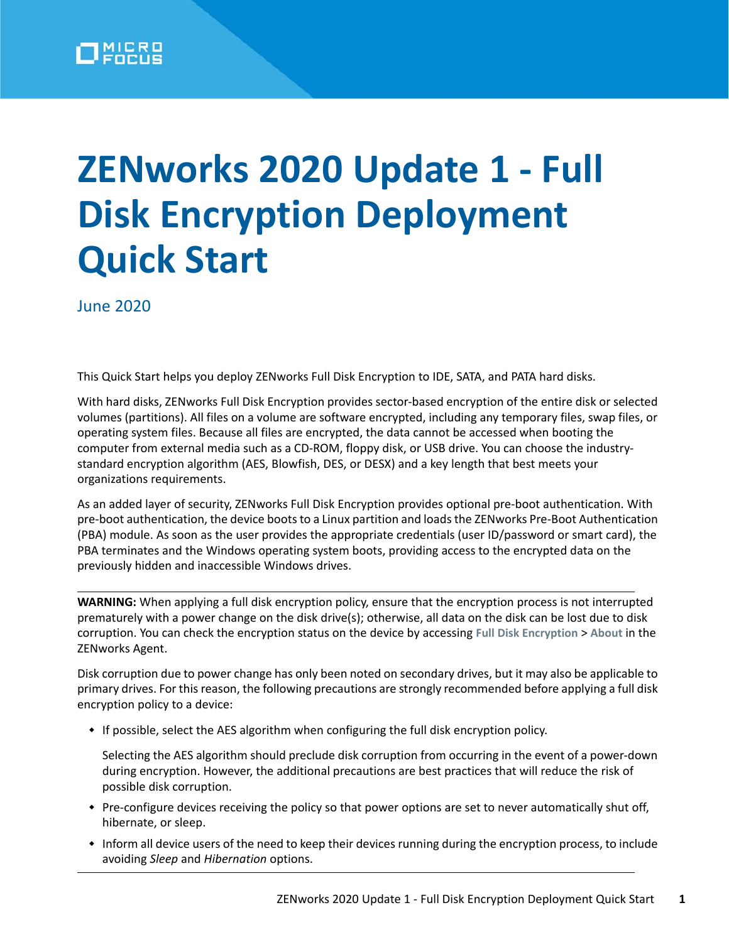

## **ZENworks 2020 Update 1 - Full Disk Encryption Deployment Quick Start**

June 2020

This Quick Start helps you deploy ZENworks Full Disk Encryption to IDE, SATA, and PATA hard disks.

With hard disks, ZENworks Full Disk Encryption provides sector-based encryption of the entire disk or selected volumes (partitions). All files on a volume are software encrypted, including any temporary files, swap files, or operating system files. Because all files are encrypted, the data cannot be accessed when booting the computer from external media such as a CD-ROM, floppy disk, or USB drive. You can choose the industrystandard encryption algorithm (AES, Blowfish, DES, or DESX) and a key length that best meets your organizations requirements.

As an added layer of security, ZENworks Full Disk Encryption provides optional pre-boot authentication. With pre-boot authentication, the device boots to a Linux partition and loads the ZENworks Pre-Boot Authentication (PBA) module. As soon as the user provides the appropriate credentials (user ID/password or smart card), the PBA terminates and the Windows operating system boots, providing access to the encrypted data on the previously hidden and inaccessible Windows drives.

**WARNING:** When applying a full disk encryption policy, ensure that the encryption process is not interrupted prematurely with a power change on the disk drive(s); otherwise, all data on the disk can be lost due to disk corruption. You can check the encryption status on the device by accessing **Full Disk Encryption** > **About** in the ZENworks Agent.

Disk corruption due to power change has only been noted on secondary drives, but it may also be applicable to primary drives. For this reason, the following precautions are strongly recommended before applying a full disk encryption policy to a device:

If possible, select the AES algorithm when configuring the full disk encryption policy.

Selecting the AES algorithm should preclude disk corruption from occurring in the event of a power-down during encryption. However, the additional precautions are best practices that will reduce the risk of possible disk corruption.

- Pre-configure devices receiving the policy so that power options are set to never automatically shut off, hibernate, or sleep.
- Inform all device users of the need to keep their devices running during the encryption process, to include avoiding *Sleep* and *Hibernation* options.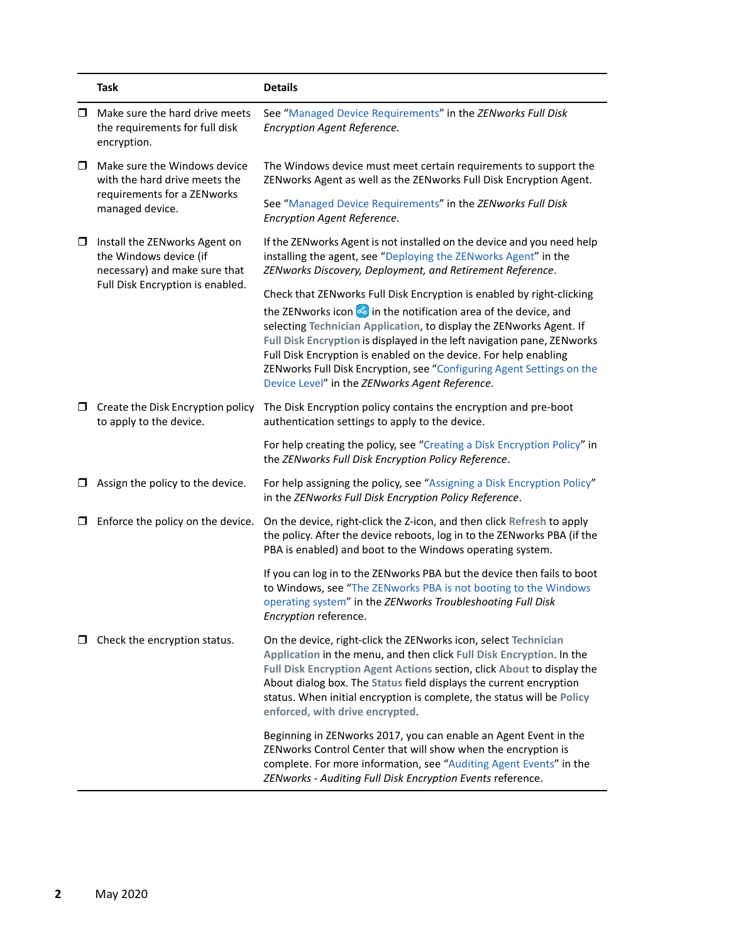|        | <b>Task</b>                                                                                                                  | <b>Details</b>                                                                                                                                                                                                                                                                                                                                                                                                                                                                             |
|--------|------------------------------------------------------------------------------------------------------------------------------|--------------------------------------------------------------------------------------------------------------------------------------------------------------------------------------------------------------------------------------------------------------------------------------------------------------------------------------------------------------------------------------------------------------------------------------------------------------------------------------------|
| □      | Make sure the hard drive meets<br>the requirements for full disk<br>encryption.                                              | See "Managed Device Requirements" in the ZENworks Full Disk<br>Encryption Agent Reference.                                                                                                                                                                                                                                                                                                                                                                                                 |
| $\Box$ | Make sure the Windows device<br>with the hard drive meets the<br>requirements for a ZENworks<br>managed device.              | The Windows device must meet certain requirements to support the<br>ZENworks Agent as well as the ZENworks Full Disk Encryption Agent.                                                                                                                                                                                                                                                                                                                                                     |
|        |                                                                                                                              | See "Managed Device Requirements" in the ZENworks Full Disk<br>Encryption Agent Reference.                                                                                                                                                                                                                                                                                                                                                                                                 |
| □      | Install the ZENworks Agent on<br>the Windows device (if<br>necessary) and make sure that<br>Full Disk Encryption is enabled. | If the ZENworks Agent is not installed on the device and you need help<br>installing the agent, see "Deploying the ZENworks Agent" in the<br>ZENworks Discovery, Deployment, and Retirement Reference.                                                                                                                                                                                                                                                                                     |
|        |                                                                                                                              | Check that ZENworks Full Disk Encryption is enabled by right-clicking<br>the ZENworks icon is in the notification area of the device, and<br>selecting Technician Application, to display the ZENworks Agent. If<br>Full Disk Encryption is displayed in the left navigation pane, ZENworks<br>Full Disk Encryption is enabled on the device. For help enabling<br>ZENworks Full Disk Encryption, see "Configuring Agent Settings on the<br>Device Level" in the ZENworks Agent Reference. |
| □      | Create the Disk Encryption policy<br>to apply to the device.                                                                 | The Disk Encryption policy contains the encryption and pre-boot<br>authentication settings to apply to the device.                                                                                                                                                                                                                                                                                                                                                                         |
|        |                                                                                                                              | For help creating the policy, see "Creating a Disk Encryption Policy" in<br>the ZENworks Full Disk Encryption Policy Reference.                                                                                                                                                                                                                                                                                                                                                            |
| □      | Assign the policy to the device.                                                                                             | For help assigning the policy, see "Assigning a Disk Encryption Policy"<br>in the ZENworks Full Disk Encryption Policy Reference.                                                                                                                                                                                                                                                                                                                                                          |
| □      | Enforce the policy on the device.                                                                                            | On the device, right-click the Z-icon, and then click Refresh to apply<br>the policy. After the device reboots, log in to the ZENworks PBA (if the<br>PBA is enabled) and boot to the Windows operating system.                                                                                                                                                                                                                                                                            |
|        |                                                                                                                              | If you can log in to the ZENworks PBA but the device then fails to boot<br>to Windows, see "The ZENworks PBA is not booting to the Windows<br>operating system" in the ZENworks Troubleshooting Full Disk<br>Encryption reference.                                                                                                                                                                                                                                                         |
|        | $\Box$ Check the encryption status.                                                                                          | On the device, right-click the ZENworks icon, select Technician<br>Application in the menu, and then click Full Disk Encryption. In the<br>Full Disk Encryption Agent Actions section, click About to display the<br>About dialog box. The Status field displays the current encryption<br>status. When initial encryption is complete, the status will be Policy<br>enforced, with drive encrypted.                                                                                       |
|        |                                                                                                                              | Beginning in ZENworks 2017, you can enable an Agent Event in the<br>ZENworks Control Center that will show when the encryption is<br>complete. For more information, see "Auditing Agent Events" in the<br>ZENworks - Auditing Full Disk Encryption Events reference.                                                                                                                                                                                                                      |